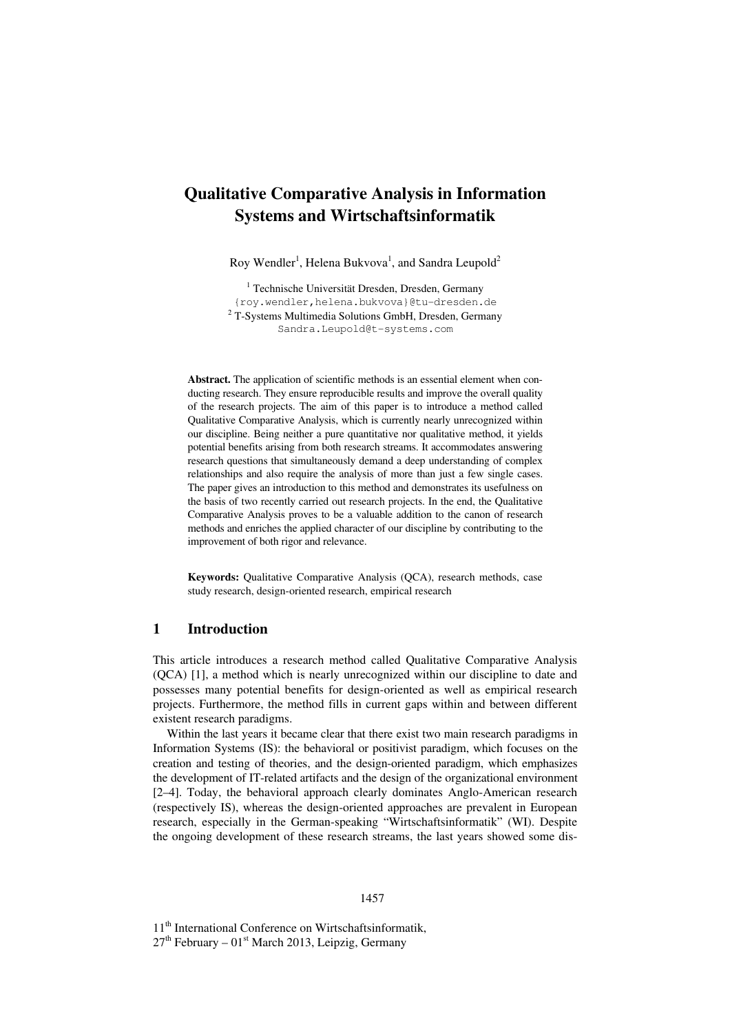# **Qualitative Comparative Analysis in Information Systems and Wirtschaftsinformatik**

Roy Wendler<sup>1</sup>, Helena Bukvova<sup>1</sup>, and Sandra Leupold<sup>2</sup>

<sup>1</sup> Technische Universität Dresden, Dresden, Germany {roy.wendler,helena.bukvova}@tu-dresden.de <sup>2</sup> T-Systems Multimedia Solutions GmbH, Dresden, Germany Sandra.Leupold@t-systems.com

**Abstract.** The application of scientific methods is an essential element when conducting research. They ensure reproducible results and improve the overall quality of the research projects. The aim of this paper is to introduce a method called Qualitative Comparative Analysis, which is currently nearly unrecognized within our discipline. Being neither a pure quantitative nor qualitative method, it yields potential benefits arising from both research streams. It accommodates answering research questions that simultaneously demand a deep understanding of complex relationships and also require the analysis of more than just a few single cases. The paper gives an introduction to this method and demonstrates its usefulness on the basis of two recently carried out research projects. In the end, the Qualitative Comparative Analysis proves to be a valuable addition to the canon of research methods and enriches the applied character of our discipline by contributing to the improvement of both rigor and relevance.

**Keywords:** Qualitative Comparative Analysis (QCA), research methods, case study research, design-oriented research, empirical research

## **1 Introduction**

This article introduces a research method called Qualitative Comparative Analysis (QCA) [1], a method which is nearly unrecognized within our discipline to date and possesses many potential benefits for design-oriented as well as empirical research projects. Furthermore, the method fills in current gaps within and between different existent research paradigms.

Within the last years it became clear that there exist two main research paradigms in Information Systems (IS): the behavioral or positivist paradigm, which focuses on the creation and testing of theories, and the design-oriented paradigm, which emphasizes the development of IT-related artifacts and the design of the organizational environment [2–4]. Today, the behavioral approach clearly dominates Anglo-American research (respectively IS), whereas the design-oriented approaches are prevalent in European research, especially in the German-speaking "Wirtschaftsinformatik" (WI). Despite the ongoing development of these research streams, the last years showed some dis-

#### 1457

11<sup>th</sup> International Conference on Wirtschaftsinformatik,  $27<sup>th</sup>$  February –  $01<sup>st</sup>$  March 2013, Leipzig, Germany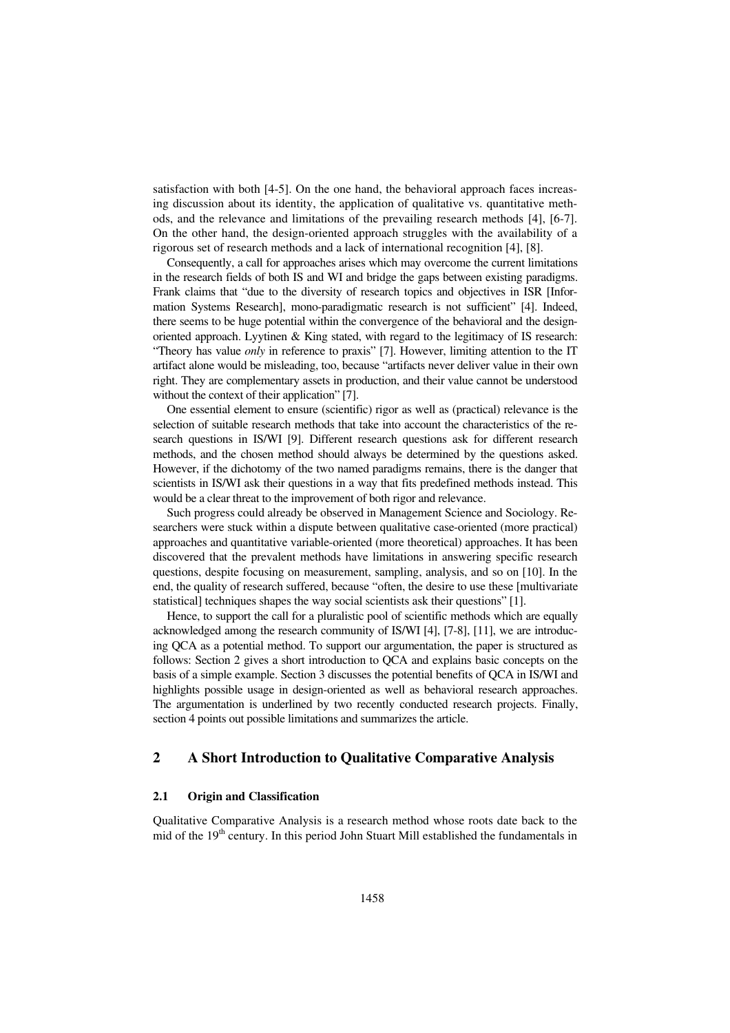satisfaction with both [4-5]. On the one hand, the behavioral approach faces increasing discussion about its identity, the application of qualitative vs. quantitative methods, and the relevance and limitations of the prevailing research methods [4], [6-7]. On the other hand, the design-oriented approach struggles with the availability of a rigorous set of research methods and a lack of international recognition [4], [8].

Consequently, a call for approaches arises which may overcome the current limitations in the research fields of both IS and WI and bridge the gaps between existing paradigms. Frank claims that "due to the diversity of research topics and objectives in ISR [Information Systems Research], mono-paradigmatic research is not sufficient" [4]. Indeed, there seems to be huge potential within the convergence of the behavioral and the designoriented approach. Lyytinen  $& King$  stated, with regard to the legitimacy of IS research: "Theory has value *only* in reference to praxis" [7]. However, limiting attention to the IT artifact alone would be misleading, too, because "artifacts never deliver value in their own right. They are complementary assets in production, and their value cannot be understood without the context of their application" [7].

One essential element to ensure (scientific) rigor as well as (practical) relevance is the selection of suitable research methods that take into account the characteristics of the research questions in IS/WI [9]. Different research questions ask for different research methods, and the chosen method should always be determined by the questions asked. However, if the dichotomy of the two named paradigms remains, there is the danger that scientists in IS/WI ask their questions in a way that fits predefined methods instead. This would be a clear threat to the improvement of both rigor and relevance.

Such progress could already be observed in Management Science and Sociology. Researchers were stuck within a dispute between qualitative case-oriented (more practical) approaches and quantitative variable-oriented (more theoretical) approaches. It has been discovered that the prevalent methods have limitations in answering specific research questions, despite focusing on measurement, sampling, analysis, and so on [10]. In the end, the quality of research suffered, because "often, the desire to use these [multivariate statistical] techniques shapes the way social scientists ask their questions" [1].

Hence, to support the call for a pluralistic pool of scientific methods which are equally acknowledged among the research community of IS/WI [4], [7-8], [11], we are introducing QCA as a potential method. To support our argumentation, the paper is structured as follows: Section 2 gives a short introduction to QCA and explains basic concepts on the basis of a simple example. Section 3 discusses the potential benefits of QCA in IS/WI and highlights possible usage in design-oriented as well as behavioral research approaches. The argumentation is underlined by two recently conducted research projects. Finally, section 4 points out possible limitations and summarizes the article.

# **2 A Short Introduction to Qualitative Comparative Analysis**

### **2.1 Origin and Classification**

Qualitative Comparative Analysis is a research method whose roots date back to the mid of the 19<sup>th</sup> century. In this period John Stuart Mill established the fundamentals in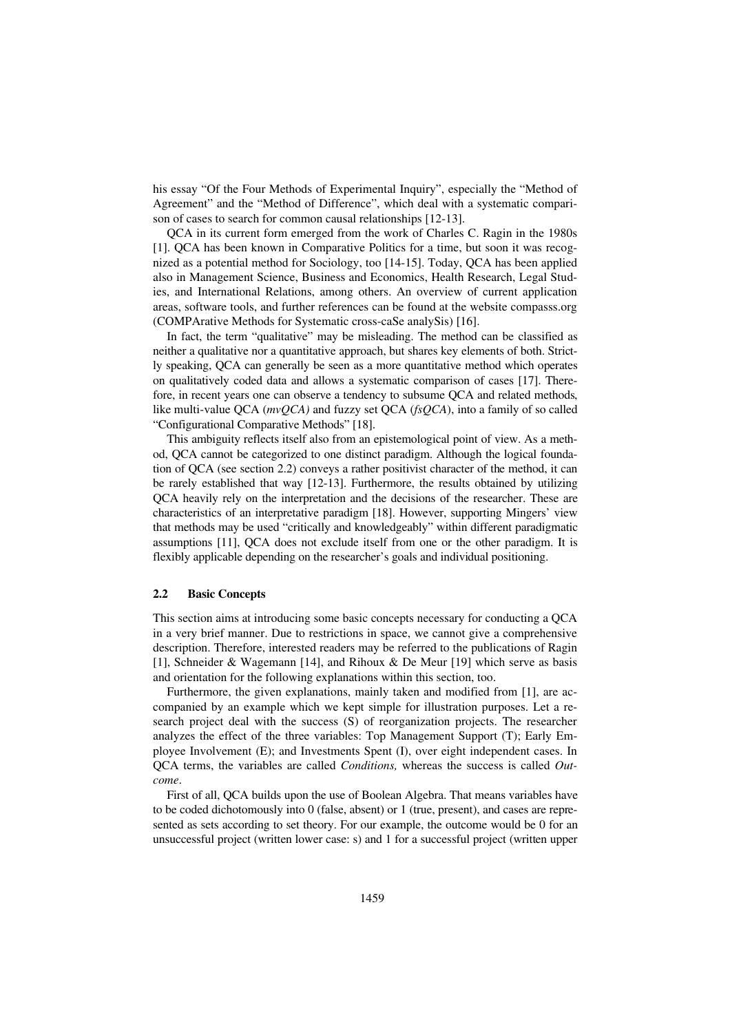his essay "Of the Four Methods of Experimental Inquiry", especially the "Method of Agreement" and the "Method of Difference", which deal with a systematic comparison of cases to search for common causal relationships [12-13].

QCA in its current form emerged from the work of Charles C. Ragin in the 1980s [1]. QCA has been known in Comparative Politics for a time, but soon it was recognized as a potential method for Sociology, too [14-15]. Today, QCA has been applied also in Management Science, Business and Economics, Health Research, Legal Studies, and International Relations, among others. An overview of current application areas, software tools, and further references can be found at the website compasss.org (COMPArative Methods for Systematic cross-caSe analySis) [16].

In fact, the term "qualitative" may be misleading. The method can be classified as neither a qualitative nor a quantitative approach, but shares key elements of both. Strictly speaking, QCA can generally be seen as a more quantitative method which operates on qualitatively coded data and allows a systematic comparison of cases [17]. Therefore, in recent years one can observe a tendency to subsume QCA and related methods, like multi-value QCA (*mvQCA)* and fuzzy set QCA (*fsQCA*), into a family of so called "Configurational Comparative Methods" [18].

This ambiguity reflects itself also from an epistemological point of view. As a method, QCA cannot be categorized to one distinct paradigm. Although the logical foundation of QCA (see section 2.2) conveys a rather positivist character of the method, it can be rarely established that way [12-13]. Furthermore, the results obtained by utilizing QCA heavily rely on the interpretation and the decisions of the researcher. These are characteristics of an interpretative paradigm [18]. However, supporting Mingers' view that methods may be used "critically and knowledgeably" within different paradigmatic assumptions [11], QCA does not exclude itself from one or the other paradigm. It is flexibly applicable depending on the researcher's goals and individual positioning.

### **2.2 Basic Concepts**

This section aims at introducing some basic concepts necessary for conducting a QCA in a very brief manner. Due to restrictions in space, we cannot give a comprehensive description. Therefore, interested readers may be referred to the publications of Ragin [1], Schneider & Wagemann [14], and Rihoux & De Meur [19] which serve as basis and orientation for the following explanations within this section, too.

Furthermore, the given explanations, mainly taken and modified from [1], are accompanied by an example which we kept simple for illustration purposes. Let a research project deal with the success (S) of reorganization projects. The researcher analyzes the effect of the three variables: Top Management Support (T); Early Employee Involvement (E); and Investments Spent (I), over eight independent cases. In QCA terms, the variables are called *Conditions,* whereas the success is called *Outcome*.

First of all, QCA builds upon the use of Boolean Algebra. That means variables have to be coded dichotomously into 0 (false, absent) or 1 (true, present), and cases are represented as sets according to set theory. For our example, the outcome would be 0 for an unsuccessful project (written lower case: s) and 1 for a successful project (written upper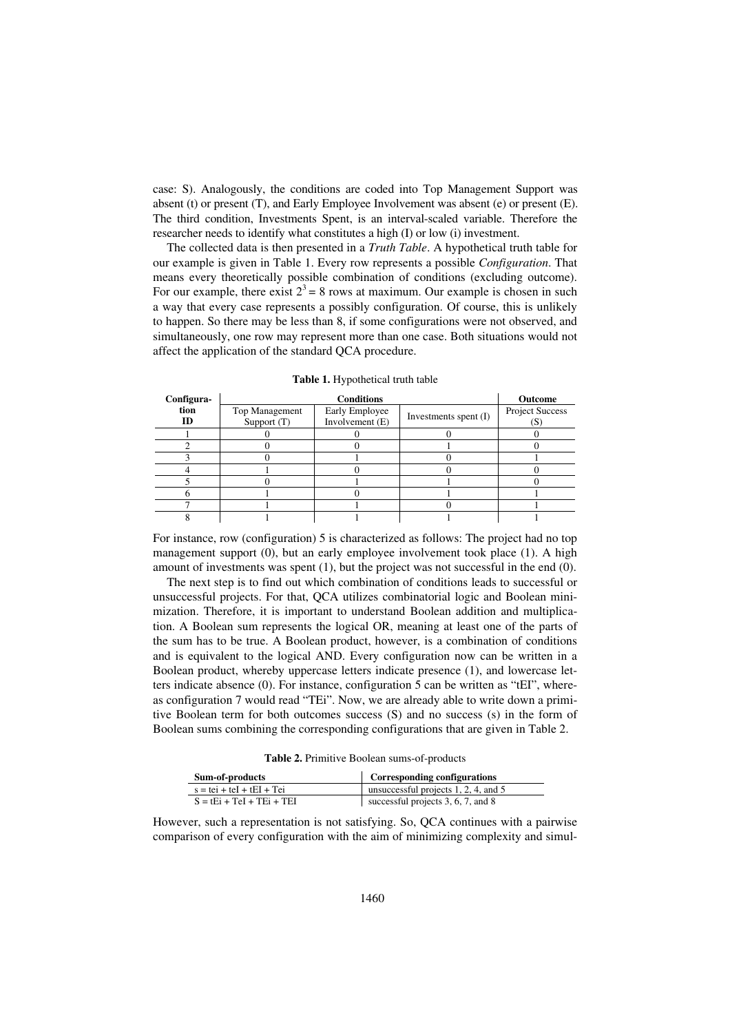case: S). Analogously, the conditions are coded into Top Management Support was absent (t) or present (T), and Early Employee Involvement was absent (e) or present (E). The third condition, Investments Spent, is an interval-scaled variable. Therefore the researcher needs to identify what constitutes a high (I) or low (i) investment.

The collected data is then presented in a *Truth Table*. A hypothetical truth table for our example is given in Table 1. Every row represents a possible *Configuration*. That means every theoretically possible combination of conditions (excluding outcome). For our example, there exist  $2<sup>3</sup> = 8$  rows at maximum. Our example is chosen in such a way that every case represents a possibly configuration. Of course, this is unlikely to happen. So there may be less than 8, if some configurations were not observed, and simultaneously, one row may represent more than one case. Both situations would not affect the application of the standard QCA procedure.

| Configura- |                               | Outcome                             |                         |                        |
|------------|-------------------------------|-------------------------------------|-------------------------|------------------------|
| tion<br>ID | Top Management<br>Support (T) | Early Employee<br>Involvement $(E)$ | Investments spent $(I)$ | <b>Project Success</b> |
|            |                               |                                     |                         |                        |
|            |                               |                                     |                         |                        |
|            |                               |                                     |                         |                        |
|            |                               |                                     |                         |                        |
|            |                               |                                     |                         |                        |
|            |                               |                                     |                         |                        |
|            |                               |                                     |                         |                        |
|            |                               |                                     |                         |                        |

**Table 1.** Hypothetical truth table

For instance, row (configuration) 5 is characterized as follows: The project had no top management support (0), but an early employee involvement took place (1). A high amount of investments was spent (1), but the project was not successful in the end (0).

The next step is to find out which combination of conditions leads to successful or unsuccessful projects. For that, QCA utilizes combinatorial logic and Boolean minimization. Therefore, it is important to understand Boolean addition and multiplication. A Boolean sum represents the logical OR, meaning at least one of the parts of the sum has to be true. A Boolean product, however, is a combination of conditions and is equivalent to the logical AND. Every configuration now can be written in a Boolean product, whereby uppercase letters indicate presence (1), and lowercase letters indicate absence (0). For instance, configuration 5 can be written as "tEI", whereas configuration 7 would read "TEi". Now, we are already able to write down a primitive Boolean term for both outcomes success (S) and no success (s) in the form of Boolean sums combining the corresponding configurations that are given in Table 2.

**Table 2.** Primitive Boolean sums-of-products

| Sum-of-products             | Corresponding configurations         |
|-----------------------------|--------------------------------------|
| $s = tei + teI + tEI + Tei$ | unsuccessful projects 1, 2, 4, and 5 |
| $S = tEi + TeI + TEi + TEI$ | successful projects 3, 6, 7, and 8   |

However, such a representation is not satisfying. So, QCA continues with a pairwise comparison of every configuration with the aim of minimizing complexity and simul-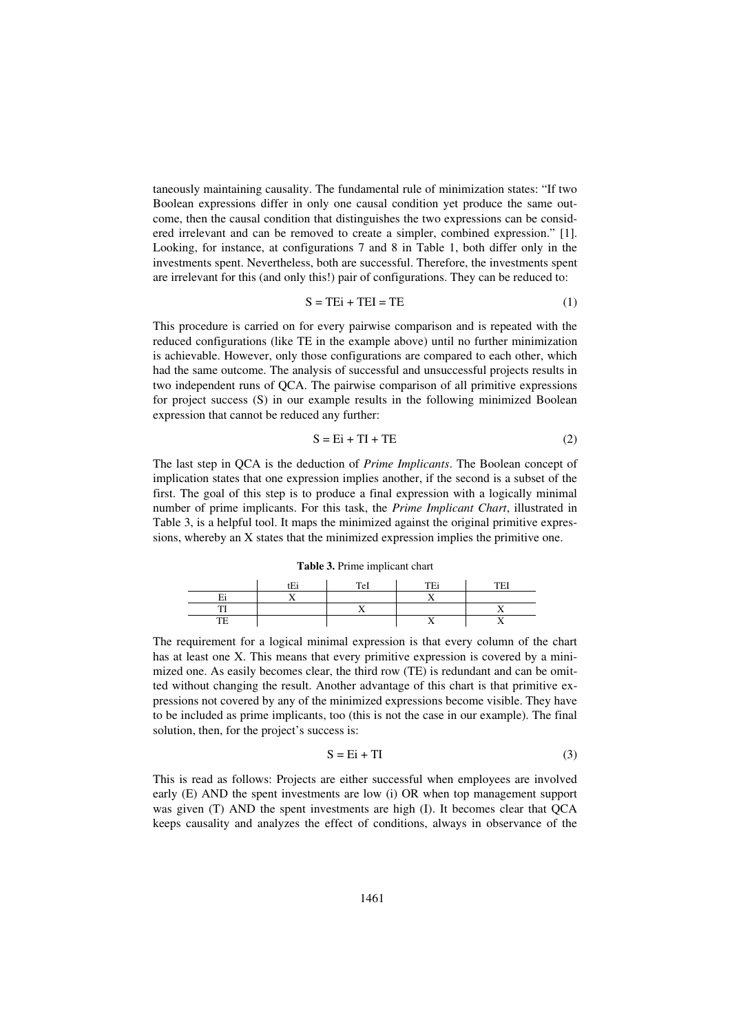taneously maintaining causality. The fundamental rule of minimization states: "If two Boolean expressions differ in only one causal condition yet produce the same outcome, then the causal condition that distinguishes the two expressions can be considered irrelevant and can be removed to create a simpler, combined expression." [1]. Looking, for instance, at configurations 7 and 8 in Table 1, both differ only in the investments spent. Nevertheless, both are successful. Therefore, the investments spent are irrelevant for this (and only this!) pair of configurations. They can be reduced to:

$$
S = TEi + TEI = TE \tag{1}
$$

This procedure is carried on for every pairwise comparison and is repeated with the reduced configurations (like TE in the example above) until no further minimization is achievable. However, only those configurations are compared to each other, which had the same outcome. The analysis of successful and unsuccessful projects results in two independent runs of QCA. The pairwise comparison of all primitive expressions for project success (S) in our example results in the following minimized Boolean expression that cannot be reduced any further:

$$
S = Ei + TI + TE
$$
 (2)

The last step in QCA is the deduction of *Prime Implicants*. The Boolean concept of implication states that one expression implies another, if the second is a subset of the first. The goal of this step is to produce a final expression with a logically minimal number of prime implicants. For this task, the *Prime Implicant Chart*, illustrated in Table 3, is a helpful tool. It maps the minimized against the original primitive expressions, whereby an X states that the minimized expression implies the primitive one.

**Table 3.** Prime implicant chart

|                          | $\mathbf{r}$ | TeI | <b>TE:</b>               | <b>TEI</b> |
|--------------------------|--------------|-----|--------------------------|------------|
| $\overline{\phantom{a}}$ |              |     | - -                      |            |
|                          |              |     |                          |            |
| mm                       |              |     | $\overline{\phantom{a}}$ |            |

The requirement for a logical minimal expression is that every column of the chart has at least one X. This means that every primitive expression is covered by a minimized one. As easily becomes clear, the third row (TE) is redundant and can be omitted without changing the result. Another advantage of this chart is that primitive expressions not covered by any of the minimized expressions become visible. They have to be included as prime implicants, too (this is not the case in our example). The final solution, then, for the project's success is:

$$
S = Ei + TI
$$
 (3)

This is read as follows: Projects are either successful when employees are involved early (E) AND the spent investments are low (i) OR when top management support was given (T) AND the spent investments are high (I). It becomes clear that QCA keeps causality and analyzes the effect of conditions, always in observance of the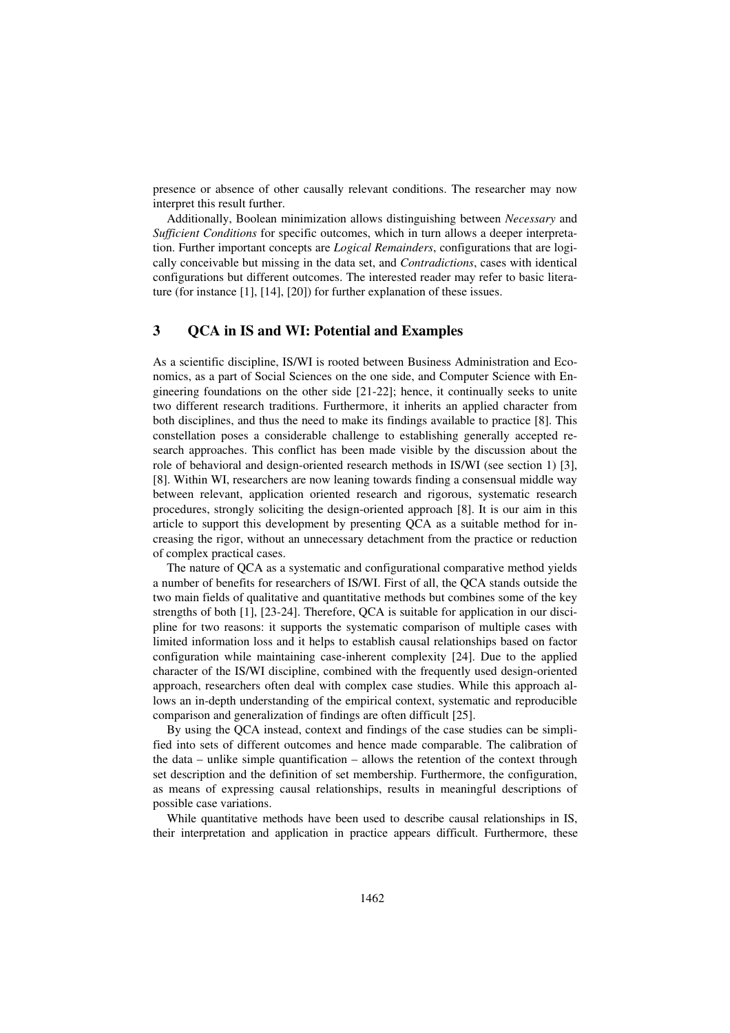presence or absence of other causally relevant conditions. The researcher may now interpret this result further.

Additionally, Boolean minimization allows distinguishing between *Necessary* and *Sufficient Conditions* for specific outcomes, which in turn allows a deeper interpretation. Further important concepts are *Logical Remainders*, configurations that are logically conceivable but missing in the data set, and *Contradictions*, cases with identical configurations but different outcomes. The interested reader may refer to basic literature (for instance [1], [14], [20]) for further explanation of these issues.

# **3 QCA in IS and WI: Potential and Examples**

As a scientific discipline, IS/WI is rooted between Business Administration and Economics, as a part of Social Sciences on the one side, and Computer Science with Engineering foundations on the other side [21-22]; hence, it continually seeks to unite two different research traditions. Furthermore, it inherits an applied character from both disciplines, and thus the need to make its findings available to practice [8]. This constellation poses a considerable challenge to establishing generally accepted research approaches. This conflict has been made visible by the discussion about the role of behavioral and design-oriented research methods in IS/WI (see section 1) [3], [8]. Within WI, researchers are now leaning towards finding a consensual middle way between relevant, application oriented research and rigorous, systematic research procedures, strongly soliciting the design-oriented approach [8]. It is our aim in this article to support this development by presenting QCA as a suitable method for increasing the rigor, without an unnecessary detachment from the practice or reduction of complex practical cases.

The nature of QCA as a systematic and configurational comparative method yields a number of benefits for researchers of IS/WI. First of all, the QCA stands outside the two main fields of qualitative and quantitative methods but combines some of the key strengths of both [1], [23-24]. Therefore, QCA is suitable for application in our discipline for two reasons: it supports the systematic comparison of multiple cases with limited information loss and it helps to establish causal relationships based on factor configuration while maintaining case-inherent complexity [24]. Due to the applied character of the IS/WI discipline, combined with the frequently used design-oriented approach, researchers often deal with complex case studies. While this approach allows an in-depth understanding of the empirical context, systematic and reproducible comparison and generalization of findings are often difficult [25].

By using the QCA instead, context and findings of the case studies can be simplified into sets of different outcomes and hence made comparable. The calibration of the data – unlike simple quantification – allows the retention of the context through set description and the definition of set membership. Furthermore, the configuration, as means of expressing causal relationships, results in meaningful descriptions of possible case variations.

While quantitative methods have been used to describe causal relationships in IS, their interpretation and application in practice appears difficult. Furthermore, these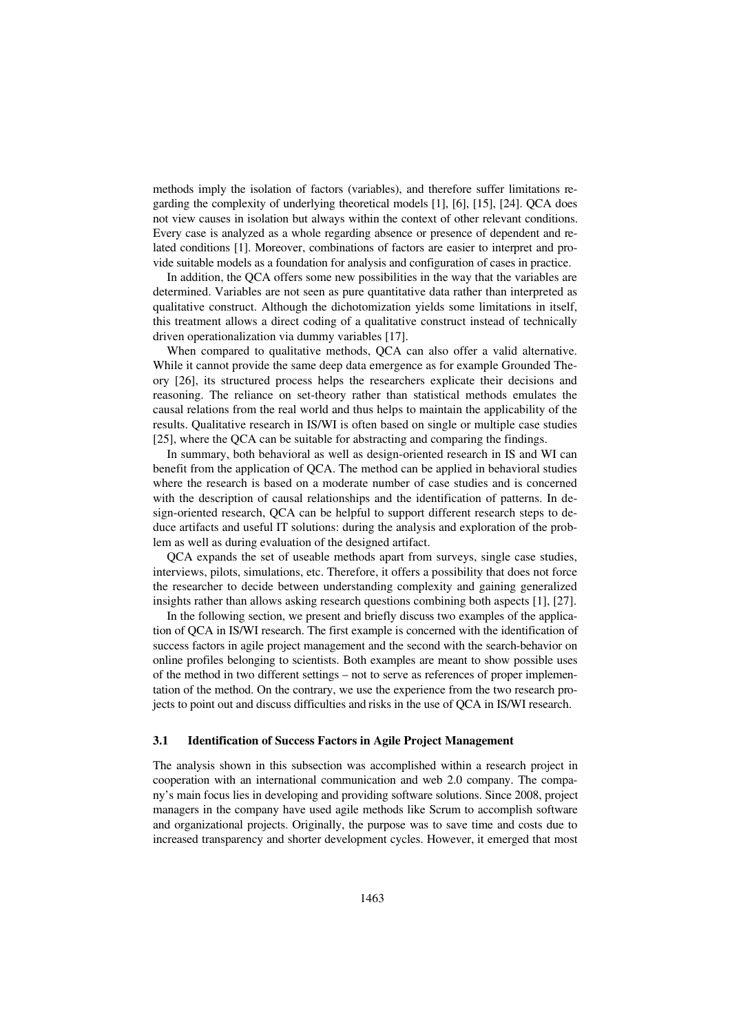methods imply the isolation of factors (variables), and therefore suffer limitations regarding the complexity of underlying theoretical models [1], [6], [15], [24]. QCA does not view causes in isolation but always within the context of other relevant conditions. Every case is analyzed as a whole regarding absence or presence of dependent and related conditions [1]. Moreover, combinations of factors are easier to interpret and provide suitable models as a foundation for analysis and configuration of cases in practice.

In addition, the QCA offers some new possibilities in the way that the variables are determined. Variables are not seen as pure quantitative data rather than interpreted as qualitative construct. Although the dichotomization yields some limitations in itself, this treatment allows a direct coding of a qualitative construct instead of technically driven operationalization via dummy variables [17].

When compared to qualitative methods, QCA can also offer a valid alternative. While it cannot provide the same deep data emergence as for example Grounded Theory [26], its structured process helps the researchers explicate their decisions and reasoning. The reliance on set-theory rather than statistical methods emulates the causal relations from the real world and thus helps to maintain the applicability of the results. Qualitative research in IS/WI is often based on single or multiple case studies [25], where the OCA can be suitable for abstracting and comparing the findings.

In summary, both behavioral as well as design-oriented research in IS and WI can benefit from the application of QCA. The method can be applied in behavioral studies where the research is based on a moderate number of case studies and is concerned with the description of causal relationships and the identification of patterns. In design-oriented research, QCA can be helpful to support different research steps to deduce artifacts and useful IT solutions: during the analysis and exploration of the problem as well as during evaluation of the designed artifact.

QCA expands the set of useable methods apart from surveys, single case studies, interviews, pilots, simulations, etc. Therefore, it offers a possibility that does not force the researcher to decide between understanding complexity and gaining generalized insights rather than allows asking research questions combining both aspects [1], [27].

In the following section, we present and briefly discuss two examples of the application of QCA in IS/WI research. The first example is concerned with the identification of success factors in agile project management and the second with the search-behavior on online profiles belonging to scientists. Both examples are meant to show possible uses of the method in two different settings – not to serve as references of proper implementation of the method. On the contrary, we use the experience from the two research projects to point out and discuss difficulties and risks in the use of QCA in IS/WI research.

### **3.1 Identification of Success Factors in Agile Project Management**

The analysis shown in this subsection was accomplished within a research project in cooperation with an international communication and web 2.0 company. The company's main focus lies in developing and providing software solutions. Since 2008, project managers in the company have used agile methods like Scrum to accomplish software and organizational projects. Originally, the purpose was to save time and costs due to increased transparency and shorter development cycles. However, it emerged that most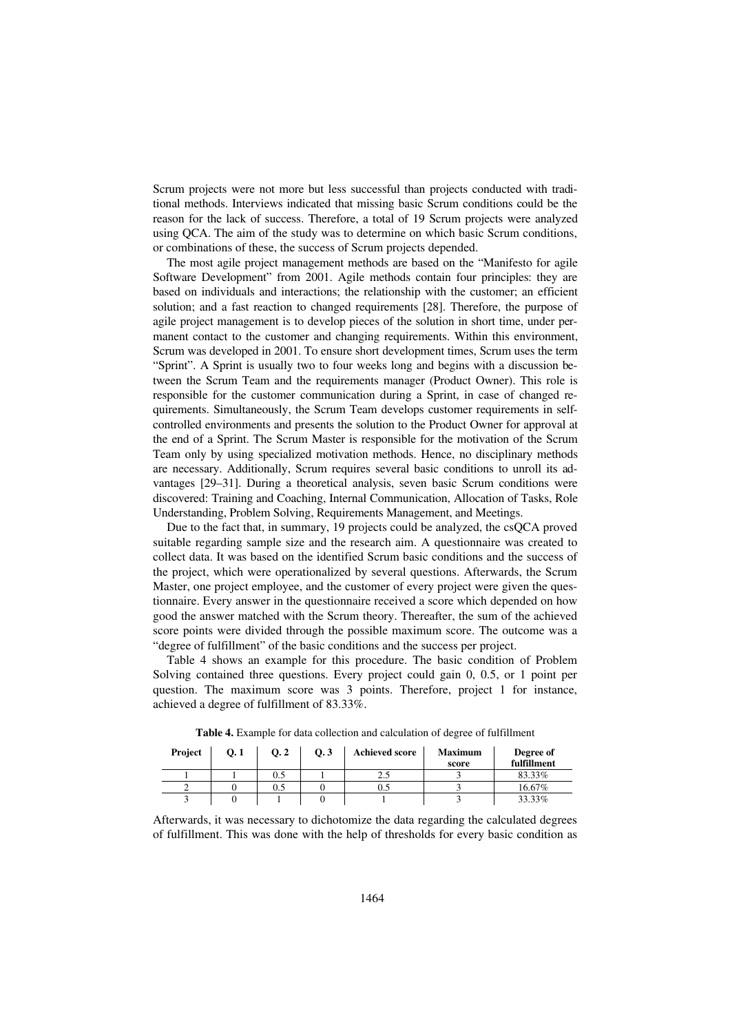Scrum projects were not more but less successful than projects conducted with traditional methods. Interviews indicated that missing basic Scrum conditions could be the reason for the lack of success. Therefore, a total of 19 Scrum projects were analyzed using QCA. The aim of the study was to determine on which basic Scrum conditions, or combinations of these, the success of Scrum projects depended.

The most agile project management methods are based on the "Manifesto for agile Software Development" from 2001. Agile methods contain four principles: they are based on individuals and interactions; the relationship with the customer; an efficient solution; and a fast reaction to changed requirements [28]. Therefore, the purpose of agile project management is to develop pieces of the solution in short time, under permanent contact to the customer and changing requirements. Within this environment, Scrum was developed in 2001. To ensure short development times, Scrum uses the term "Sprint". A Sprint is usually two to four weeks long and begins with a discussion between the Scrum Team and the requirements manager (Product Owner). This role is responsible for the customer communication during a Sprint, in case of changed requirements. Simultaneously, the Scrum Team develops customer requirements in selfcontrolled environments and presents the solution to the Product Owner for approval at the end of a Sprint. The Scrum Master is responsible for the motivation of the Scrum Team only by using specialized motivation methods. Hence, no disciplinary methods are necessary. Additionally, Scrum requires several basic conditions to unroll its advantages [29–31]. During a theoretical analysis, seven basic Scrum conditions were discovered: Training and Coaching, Internal Communication, Allocation of Tasks, Role Understanding, Problem Solving, Requirements Management, and Meetings.

Due to the fact that, in summary, 19 projects could be analyzed, the csQCA proved suitable regarding sample size and the research aim. A questionnaire was created to collect data. It was based on the identified Scrum basic conditions and the success of the project, which were operationalized by several questions. Afterwards, the Scrum Master, one project employee, and the customer of every project were given the questionnaire. Every answer in the questionnaire received a score which depended on how good the answer matched with the Scrum theory. Thereafter, the sum of the achieved score points were divided through the possible maximum score. The outcome was a "degree of fulfillment" of the basic conditions and the success per project.

Table 4 shows an example for this procedure. The basic condition of Problem Solving contained three questions. Every project could gain 0, 0.5, or 1 point per question. The maximum score was 3 points. Therefore, project 1 for instance, achieved a degree of fulfillment of 83.33%.

| Project | Q.1 | Q <sub>2</sub> | 0.3 | <b>Achieved score</b> | <b>Maximum</b><br>score | Degree of<br>fulfillment |
|---------|-----|----------------|-----|-----------------------|-------------------------|--------------------------|
|         |     | 0.5            |     | 2.5                   |                         | 83.33%                   |
|         |     | 0.5            |     |                       |                         | 16.67%                   |
|         |     |                |     |                       |                         | 33.33%                   |

**Table 4.** Example for data collection and calculation of degree of fulfillment

Afterwards, it was necessary to dichotomize the data regarding the calculated degrees of fulfillment. This was done with the help of thresholds for every basic condition as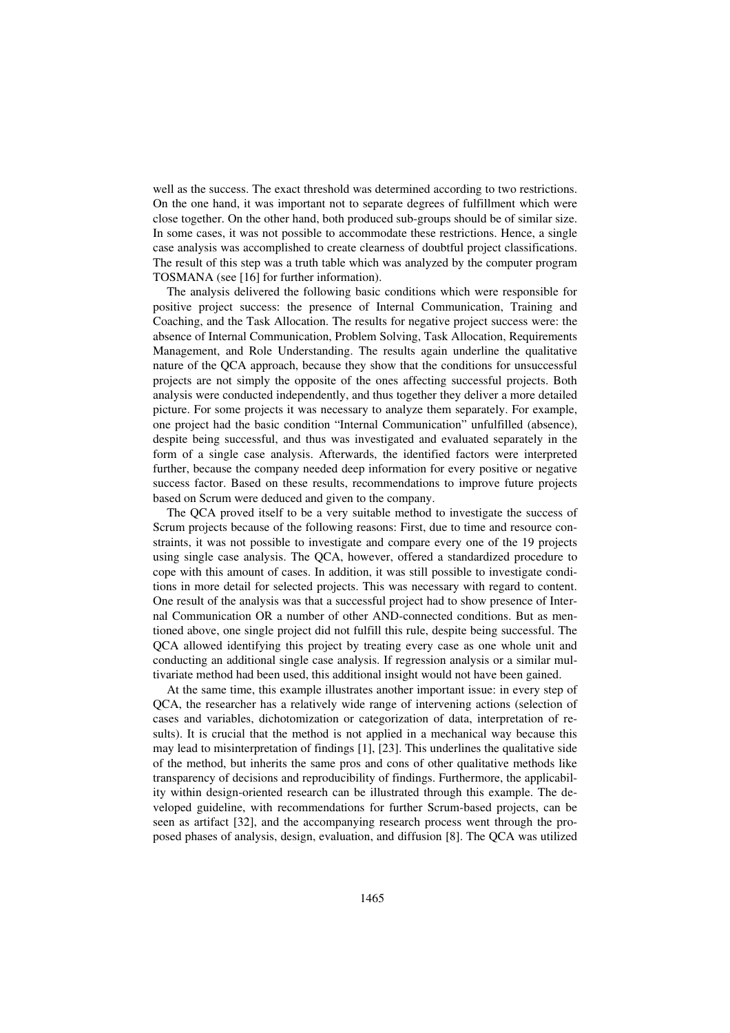well as the success. The exact threshold was determined according to two restrictions. On the one hand, it was important not to separate degrees of fulfillment which were close together. On the other hand, both produced sub-groups should be of similar size. In some cases, it was not possible to accommodate these restrictions. Hence, a single case analysis was accomplished to create clearness of doubtful project classifications. The result of this step was a truth table which was analyzed by the computer program TOSMANA (see [16] for further information).

The analysis delivered the following basic conditions which were responsible for positive project success: the presence of Internal Communication, Training and Coaching, and the Task Allocation. The results for negative project success were: the absence of Internal Communication, Problem Solving, Task Allocation, Requirements Management, and Role Understanding. The results again underline the qualitative nature of the QCA approach, because they show that the conditions for unsuccessful projects are not simply the opposite of the ones affecting successful projects. Both analysis were conducted independently, and thus together they deliver a more detailed picture. For some projects it was necessary to analyze them separately. For example, one project had the basic condition "Internal Communication" unfulfilled (absence), despite being successful, and thus was investigated and evaluated separately in the form of a single case analysis. Afterwards, the identified factors were interpreted further, because the company needed deep information for every positive or negative success factor. Based on these results, recommendations to improve future projects based on Scrum were deduced and given to the company.

The QCA proved itself to be a very suitable method to investigate the success of Scrum projects because of the following reasons: First, due to time and resource constraints, it was not possible to investigate and compare every one of the 19 projects using single case analysis. The QCA, however, offered a standardized procedure to cope with this amount of cases. In addition, it was still possible to investigate conditions in more detail for selected projects. This was necessary with regard to content. One result of the analysis was that a successful project had to show presence of Internal Communication OR a number of other AND-connected conditions. But as mentioned above, one single project did not fulfill this rule, despite being successful. The QCA allowed identifying this project by treating every case as one whole unit and conducting an additional single case analysis. If regression analysis or a similar multivariate method had been used, this additional insight would not have been gained.

At the same time, this example illustrates another important issue: in every step of QCA, the researcher has a relatively wide range of intervening actions (selection of cases and variables, dichotomization or categorization of data, interpretation of results). It is crucial that the method is not applied in a mechanical way because this may lead to misinterpretation of findings [1], [23]. This underlines the qualitative side of the method, but inherits the same pros and cons of other qualitative methods like transparency of decisions and reproducibility of findings. Furthermore, the applicability within design-oriented research can be illustrated through this example. The developed guideline, with recommendations for further Scrum-based projects, can be seen as artifact [32], and the accompanying research process went through the proposed phases of analysis, design, evaluation, and diffusion [8]. The QCA was utilized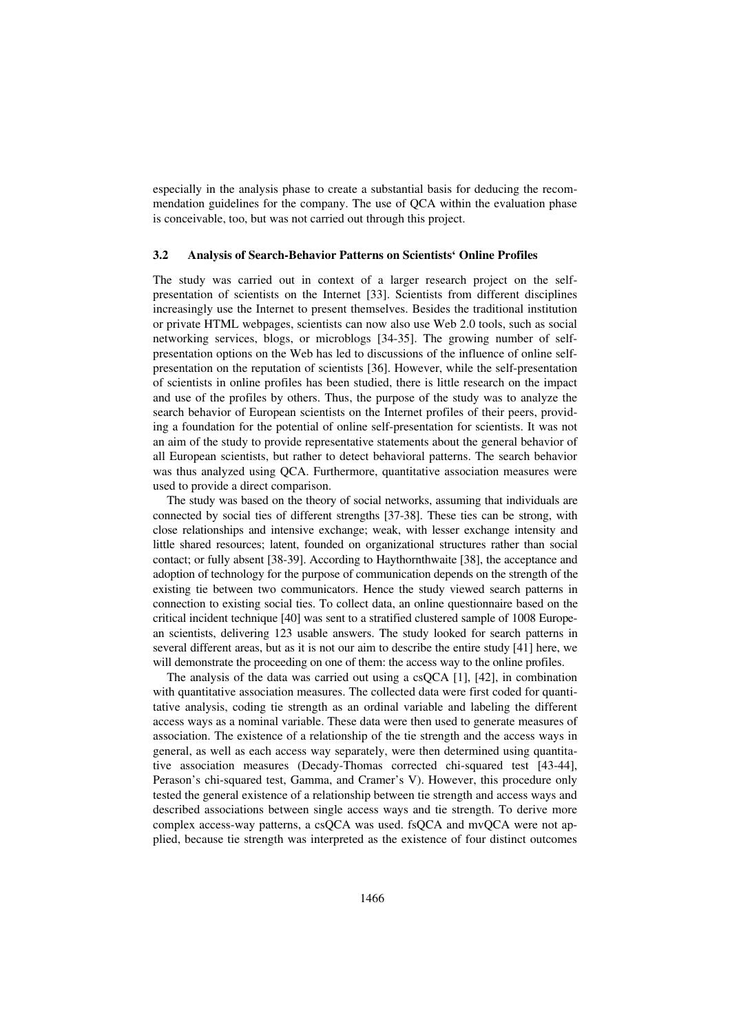especially in the analysis phase to create a substantial basis for deducing the recommendation guidelines for the company. The use of QCA within the evaluation phase is conceivable, too, but was not carried out through this project.

### **3.2 Analysis of Search-Behavior Patterns on Scientists' Online Profiles**

The study was carried out in context of a larger research project on the selfpresentation of scientists on the Internet [33]. Scientists from different disciplines increasingly use the Internet to present themselves. Besides the traditional institution or private HTML webpages, scientists can now also use Web 2.0 tools, such as social networking services, blogs, or microblogs [34-35]. The growing number of selfpresentation options on the Web has led to discussions of the influence of online selfpresentation on the reputation of scientists [36]. However, while the self-presentation of scientists in online profiles has been studied, there is little research on the impact and use of the profiles by others. Thus, the purpose of the study was to analyze the search behavior of European scientists on the Internet profiles of their peers, providing a foundation for the potential of online self-presentation for scientists. It was not an aim of the study to provide representative statements about the general behavior of all European scientists, but rather to detect behavioral patterns. The search behavior was thus analyzed using QCA. Furthermore, quantitative association measures were used to provide a direct comparison.

The study was based on the theory of social networks, assuming that individuals are connected by social ties of different strengths [37-38]. These ties can be strong, with close relationships and intensive exchange; weak, with lesser exchange intensity and little shared resources; latent, founded on organizational structures rather than social contact; or fully absent [38-39]. According to Haythornthwaite [38], the acceptance and adoption of technology for the purpose of communication depends on the strength of the existing tie between two communicators. Hence the study viewed search patterns in connection to existing social ties. To collect data, an online questionnaire based on the critical incident technique [40] was sent to a stratified clustered sample of 1008 European scientists, delivering 123 usable answers. The study looked for search patterns in several different areas, but as it is not our aim to describe the entire study [41] here, we will demonstrate the proceeding on one of them: the access way to the online profiles.

The analysis of the data was carried out using a csQCA [1], [42], in combination with quantitative association measures. The collected data were first coded for quantitative analysis, coding tie strength as an ordinal variable and labeling the different access ways as a nominal variable. These data were then used to generate measures of association. The existence of a relationship of the tie strength and the access ways in general, as well as each access way separately, were then determined using quantitative association measures (Decady-Thomas corrected chi-squared test [43-44], Perason's chi-squared test, Gamma, and Cramer's V). However, this procedure only tested the general existence of a relationship between tie strength and access ways and described associations between single access ways and tie strength. To derive more complex access-way patterns, a csQCA was used. fsQCA and mvQCA were not applied, because tie strength was interpreted as the existence of four distinct outcomes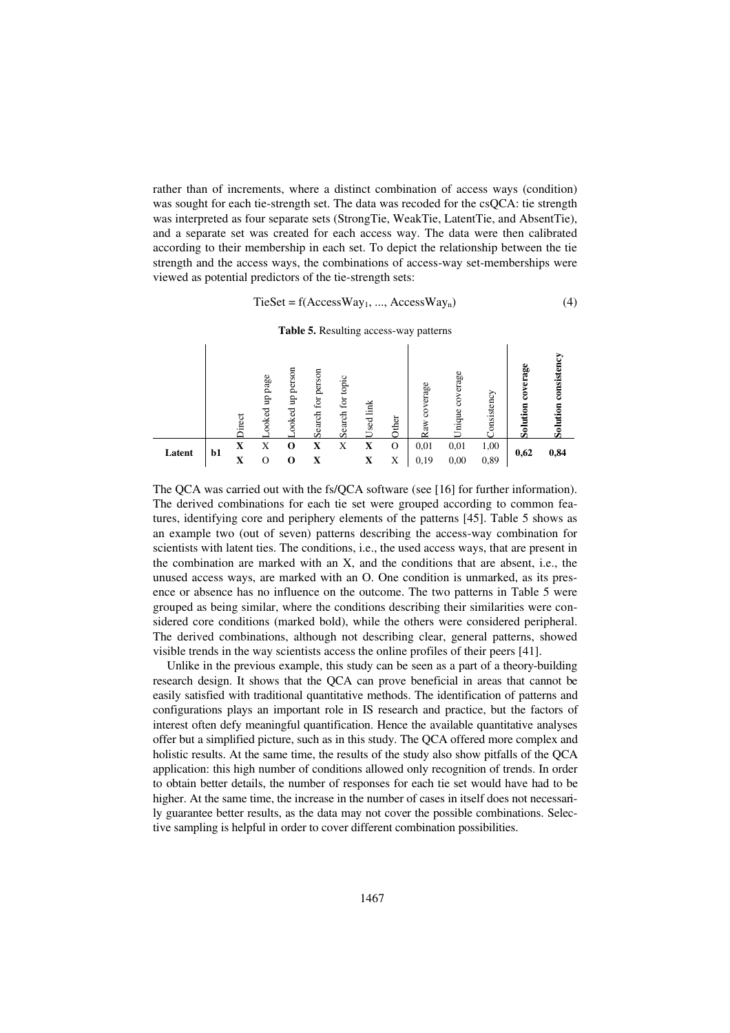rather than of increments, where a distinct combination of access ways (condition) was sought for each tie-strength set. The data was recoded for the csQCA: tie strength was interpreted as four separate sets (StrongTie, WeakTie, LatentTie, and AbsentTie), and a separate set was created for each access way. The data were then calibrated according to their membership in each set. To depict the relationship between the tie strength and the access ways, the combinations of access-way set-memberships were viewed as potential predictors of the tie-strength sets:

$$
TieSet = f(Access Way_1, ..., AccessWay_n)
$$
 (4)

**Table 5.** Resulting access-way patterns

|        |      | irect | page<br>ę<br>ooked | person<br>θ<br>ooked | person<br>for<br>earch<br>ω | topic<br>for<br>Search | Link<br>Used | <b>ther</b> | erage<br>8<br>Raw | erage<br>Jnique | onsistency | erage<br>ខ<br>5<br>Φ<br>ᇹ<br>Ø. | Sist<br>Ξ<br>ھ |
|--------|------|-------|--------------------|----------------------|-----------------------------|------------------------|--------------|-------------|-------------------|-----------------|------------|---------------------------------|----------------|
| Latent | $b1$ | x     | X                  |                      |                             | X                      | X            | O           | 0,01              | 0,01            | 1,00       | 0,62                            | 0,84           |
|        |      | X     |                    | U                    |                             |                        | x            | Χ           | 0,19              | 0,00            | 0,89       |                                 |                |

The QCA was carried out with the fs/QCA software (see [16] for further information). The derived combinations for each tie set were grouped according to common features, identifying core and periphery elements of the patterns [45]. Table 5 shows as an example two (out of seven) patterns describing the access-way combination for scientists with latent ties. The conditions, i.e., the used access ways, that are present in the combination are marked with an X, and the conditions that are absent, i.e., the unused access ways, are marked with an O. One condition is unmarked, as its presence or absence has no influence on the outcome. The two patterns in Table 5 were grouped as being similar, where the conditions describing their similarities were considered core conditions (marked bold), while the others were considered peripheral. The derived combinations, although not describing clear, general patterns, showed visible trends in the way scientists access the online profiles of their peers [41].

Unlike in the previous example, this study can be seen as a part of a theory-building research design. It shows that the QCA can prove beneficial in areas that cannot be easily satisfied with traditional quantitative methods. The identification of patterns and configurations plays an important role in IS research and practice, but the factors of interest often defy meaningful quantification. Hence the available quantitative analyses offer but a simplified picture, such as in this study. The QCA offered more complex and holistic results. At the same time, the results of the study also show pitfalls of the QCA application: this high number of conditions allowed only recognition of trends. In order to obtain better details, the number of responses for each tie set would have had to be higher. At the same time, the increase in the number of cases in itself does not necessarily guarantee better results, as the data may not cover the possible combinations. Selective sampling is helpful in order to cover different combination possibilities.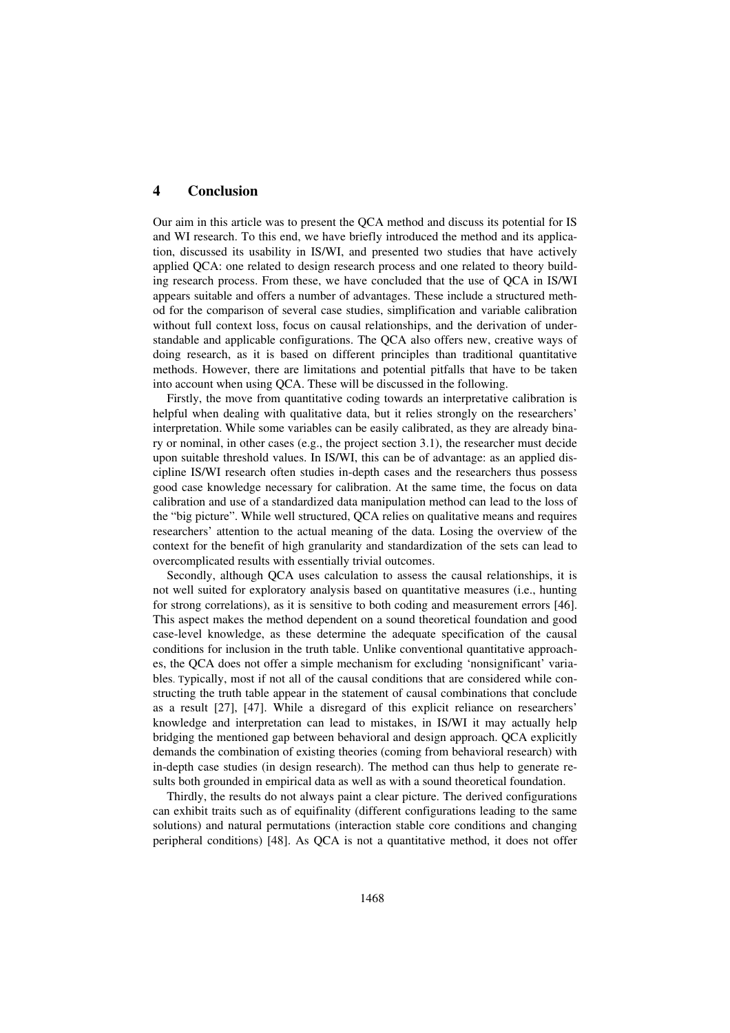# **4 Conclusion**

Our aim in this article was to present the QCA method and discuss its potential for IS and WI research. To this end, we have briefly introduced the method and its application, discussed its usability in IS/WI, and presented two studies that have actively applied QCA: one related to design research process and one related to theory building research process. From these, we have concluded that the use of QCA in IS/WI appears suitable and offers a number of advantages. These include a structured method for the comparison of several case studies, simplification and variable calibration without full context loss, focus on causal relationships, and the derivation of understandable and applicable configurations. The QCA also offers new, creative ways of doing research, as it is based on different principles than traditional quantitative methods. However, there are limitations and potential pitfalls that have to be taken into account when using QCA. These will be discussed in the following.

Firstly, the move from quantitative coding towards an interpretative calibration is helpful when dealing with qualitative data, but it relies strongly on the researchers' interpretation. While some variables can be easily calibrated, as they are already binary or nominal, in other cases (e.g., the project section 3.1), the researcher must decide upon suitable threshold values. In IS/WI, this can be of advantage: as an applied discipline IS/WI research often studies in-depth cases and the researchers thus possess good case knowledge necessary for calibration. At the same time, the focus on data calibration and use of a standardized data manipulation method can lead to the loss of the "big picture". While well structured, QCA relies on qualitative means and requires researchers' attention to the actual meaning of the data. Losing the overview of the context for the benefit of high granularity and standardization of the sets can lead to overcomplicated results with essentially trivial outcomes.

Secondly, although QCA uses calculation to assess the causal relationships, it is not well suited for exploratory analysis based on quantitative measures (i.e., hunting for strong correlations), as it is sensitive to both coding and measurement errors [46]. This aspect makes the method dependent on a sound theoretical foundation and good case-level knowledge, as these determine the adequate specification of the causal conditions for inclusion in the truth table. Unlike conventional quantitative approaches, the QCA does not offer a simple mechanism for excluding 'nonsignificant' variables. Typically, most if not all of the causal conditions that are considered while constructing the truth table appear in the statement of causal combinations that conclude as a result [27], [47]. While a disregard of this explicit reliance on researchers' knowledge and interpretation can lead to mistakes, in IS/WI it may actually help bridging the mentioned gap between behavioral and design approach. QCA explicitly demands the combination of existing theories (coming from behavioral research) with in-depth case studies (in design research). The method can thus help to generate results both grounded in empirical data as well as with a sound theoretical foundation.

Thirdly, the results do not always paint a clear picture. The derived configurations can exhibit traits such as of equifinality (different configurations leading to the same solutions) and natural permutations (interaction stable core conditions and changing peripheral conditions) [48]. As QCA is not a quantitative method, it does not offer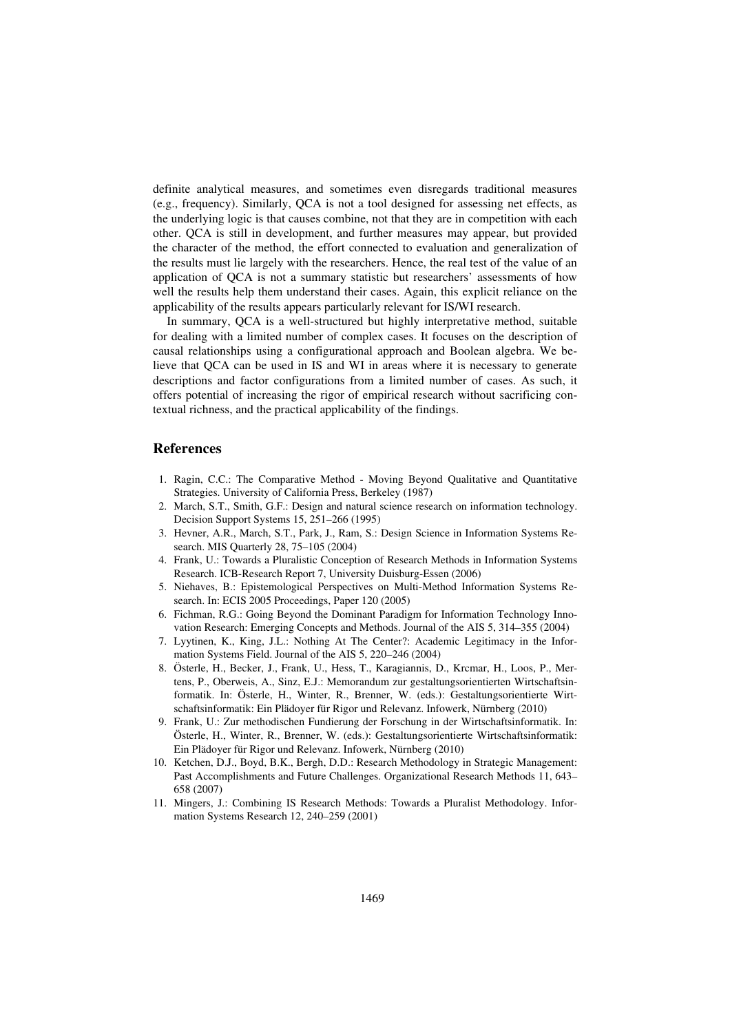definite analytical measures, and sometimes even disregards traditional measures (e.g., frequency). Similarly, QCA is not a tool designed for assessing net effects, as the underlying logic is that causes combine, not that they are in competition with each other. QCA is still in development, and further measures may appear, but provided the character of the method, the effort connected to evaluation and generalization of the results must lie largely with the researchers. Hence, the real test of the value of an application of QCA is not a summary statistic but researchers' assessments of how well the results help them understand their cases. Again, this explicit reliance on the applicability of the results appears particularly relevant for IS/WI research.

In summary, QCA is a well-structured but highly interpretative method, suitable for dealing with a limited number of complex cases. It focuses on the description of causal relationships using a configurational approach and Boolean algebra. We believe that QCA can be used in IS and WI in areas where it is necessary to generate descriptions and factor configurations from a limited number of cases. As such, it offers potential of increasing the rigor of empirical research without sacrificing contextual richness, and the practical applicability of the findings.

## **References**

- 1. Ragin, C.C.: The Comparative Method Moving Beyond Qualitative and Quantitative Strategies. University of California Press, Berkeley (1987)
- 2. March, S.T., Smith, G.F.: Design and natural science research on information technology. Decision Support Systems 15, 251–266 (1995)
- 3. Hevner, A.R., March, S.T., Park, J., Ram, S.: Design Science in Information Systems Research. MIS Quarterly 28, 75–105 (2004)
- 4. Frank, U.: Towards a Pluralistic Conception of Research Methods in Information Systems Research. ICB-Research Report 7, University Duisburg-Essen (2006)
- 5. Niehaves, B.: Epistemological Perspectives on Multi-Method Information Systems Research. In: ECIS 2005 Proceedings, Paper 120 (2005)
- 6. Fichman, R.G.: Going Beyond the Dominant Paradigm for Information Technology Innovation Research: Emerging Concepts and Methods. Journal of the AIS 5, 314–355 (2004)
- 7. Lyytinen, K., King, J.L.: Nothing At The Center?: Academic Legitimacy in the Information Systems Field. Journal of the AIS 5, 220–246 (2004)
- 8. Österle, H., Becker, J., Frank, U., Hess, T., Karagiannis, D., Krcmar, H., Loos, P., Mertens, P., Oberweis, A., Sinz, E.J.: Memorandum zur gestaltungsorientierten Wirtschaftsinformatik. In: Österle, H., Winter, R., Brenner, W. (eds.): Gestaltungsorientierte Wirtschaftsinformatik: Ein Plädoyer für Rigor und Relevanz. Infowerk, Nürnberg (2010)
- 9. Frank, U.: Zur methodischen Fundierung der Forschung in der Wirtschaftsinformatik. In: Österle, H., Winter, R., Brenner, W. (eds.): Gestaltungsorientierte Wirtschaftsinformatik: Ein Plädoyer für Rigor und Relevanz. Infowerk, Nürnberg (2010)
- 10. Ketchen, D.J., Boyd, B.K., Bergh, D.D.: Research Methodology in Strategic Management: Past Accomplishments and Future Challenges. Organizational Research Methods 11, 643– 658 (2007)
- 11. Mingers, J.: Combining IS Research Methods: Towards a Pluralist Methodology. Information Systems Research 12, 240–259 (2001)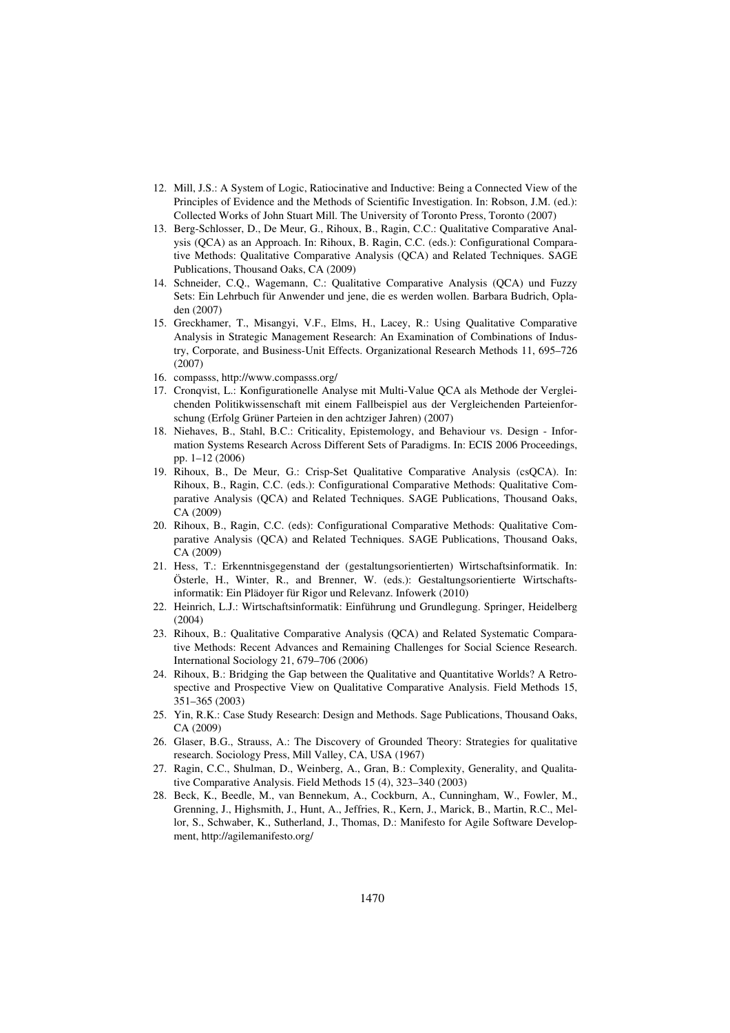- 12. Mill, J.S.: A System of Logic, Ratiocinative and Inductive: Being a Connected View of the Principles of Evidence and the Methods of Scientific Investigation. In: Robson, J.M. (ed.): Collected Works of John Stuart Mill. The University of Toronto Press, Toronto (2007)
- 13. Berg-Schlosser, D., De Meur, G., Rihoux, B., Ragin, C.C.: Qualitative Comparative Analysis (QCA) as an Approach. In: Rihoux, B. Ragin, C.C. (eds.): Configurational Comparative Methods: Qualitative Comparative Analysis (QCA) and Related Techniques. SAGE Publications, Thousand Oaks, CA (2009)
- 14. Schneider, C.Q., Wagemann, C.: Qualitative Comparative Analysis (QCA) und Fuzzy Sets: Ein Lehrbuch für Anwender und jene, die es werden wollen. Barbara Budrich, Opladen (2007)
- 15. Greckhamer, T., Misangyi, V.F., Elms, H., Lacey, R.: Using Qualitative Comparative Analysis in Strategic Management Research: An Examination of Combinations of Industry, Corporate, and Business-Unit Effects. Organizational Research Methods 11, 695–726 (2007)
- 16. compasss, http://www.compasss.org/
- 17. Cronqvist, L.: Konfigurationelle Analyse mit Multi-Value QCA als Methode der Vergleichenden Politikwissenschaft mit einem Fallbeispiel aus der Vergleichenden Parteienforschung (Erfolg Grüner Parteien in den achtziger Jahren) (2007)
- 18. Niehaves, B., Stahl, B.C.: Criticality, Epistemology, and Behaviour vs. Design Information Systems Research Across Different Sets of Paradigms. In: ECIS 2006 Proceedings, pp. 1–12 (2006)
- 19. Rihoux, B., De Meur, G.: Crisp-Set Qualitative Comparative Analysis (csQCA). In: Rihoux, B., Ragin, C.C. (eds.): Configurational Comparative Methods: Qualitative Comparative Analysis (QCA) and Related Techniques. SAGE Publications, Thousand Oaks, CA (2009)
- 20. Rihoux, B., Ragin, C.C. (eds): Configurational Comparative Methods: Qualitative Comparative Analysis (QCA) and Related Techniques. SAGE Publications, Thousand Oaks, CA (2009)
- 21. Hess, T.: Erkenntnisgegenstand der (gestaltungsorientierten) Wirtschaftsinformatik. In: Österle, H., Winter, R., and Brenner, W. (eds.): Gestaltungsorientierte Wirtschaftsinformatik: Ein Plädoyer für Rigor und Relevanz. Infowerk (2010)
- 22. Heinrich, L.J.: Wirtschaftsinformatik: Einführung und Grundlegung. Springer, Heidelberg (2004)
- 23. Rihoux, B.: Qualitative Comparative Analysis (QCA) and Related Systematic Comparative Methods: Recent Advances and Remaining Challenges for Social Science Research. International Sociology 21, 679–706 (2006)
- 24. Rihoux, B.: Bridging the Gap between the Qualitative and Quantitative Worlds? A Retrospective and Prospective View on Qualitative Comparative Analysis. Field Methods 15, 351–365 (2003)
- 25. Yin, R.K.: Case Study Research: Design and Methods. Sage Publications, Thousand Oaks, CA (2009)
- 26. Glaser, B.G., Strauss, A.: The Discovery of Grounded Theory: Strategies for qualitative research. Sociology Press, Mill Valley, CA, USA (1967)
- 27. Ragin, C.C., Shulman, D., Weinberg, A., Gran, B.: Complexity, Generality, and Qualitative Comparative Analysis. Field Methods 15 (4), 323–340 (2003)
- 28. Beck, K., Beedle, M., van Bennekum, A., Cockburn, A., Cunningham, W., Fowler, M., Grenning, J., Highsmith, J., Hunt, A., Jeffries, R., Kern, J., Marick, B., Martin, R.C., Mellor, S., Schwaber, K., Sutherland, J., Thomas, D.: Manifesto for Agile Software Development, http://agilemanifesto.org/